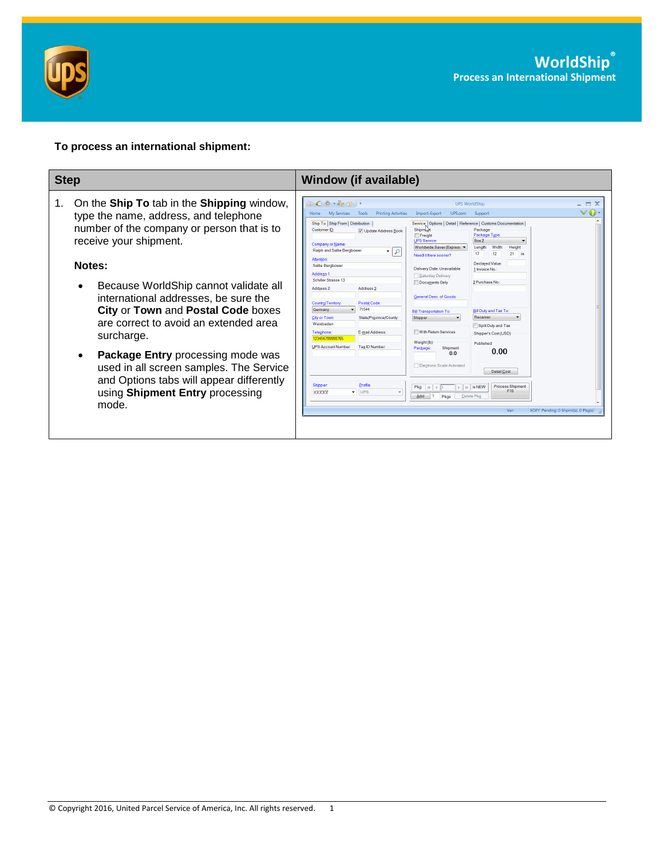

## **To process an international shipment:**

| <b>Step</b>                                                                                                                                                                                                                                                                                                                                                                                                                                                                                                                                                   | <b>Window (if available)</b>                                                                                                                                                                                                                                                                                                                                                                                                                                                                                                                                                                                                                                                                                                                                                                                                                                                                                                                                                                                                                                                                                                                                                                                                                                                                                                                                                                                                                                                                                                                                                                                                                                                                      |
|---------------------------------------------------------------------------------------------------------------------------------------------------------------------------------------------------------------------------------------------------------------------------------------------------------------------------------------------------------------------------------------------------------------------------------------------------------------------------------------------------------------------------------------------------------------|---------------------------------------------------------------------------------------------------------------------------------------------------------------------------------------------------------------------------------------------------------------------------------------------------------------------------------------------------------------------------------------------------------------------------------------------------------------------------------------------------------------------------------------------------------------------------------------------------------------------------------------------------------------------------------------------------------------------------------------------------------------------------------------------------------------------------------------------------------------------------------------------------------------------------------------------------------------------------------------------------------------------------------------------------------------------------------------------------------------------------------------------------------------------------------------------------------------------------------------------------------------------------------------------------------------------------------------------------------------------------------------------------------------------------------------------------------------------------------------------------------------------------------------------------------------------------------------------------------------------------------------------------------------------------------------------------|
| On the <b>Ship To</b> tab in the <b>Shipping</b> window,<br>1.<br>type the name, address, and telephone<br>number of the company or person that is to<br>receive your shipment.<br>Notes:<br>Because WorldShip cannot validate all<br>international addresses, be sure the<br><b>City or Town and Postal Code boxes</b><br>are correct to avoid an extended area<br>surcharge.<br><b>Package Entry processing mode was</b><br>used in all screen samples. The Service<br>and Options tabs will appear differently<br>using Shipment Entry processing<br>mode. | Ⅲ ◎ 卷 → ◎ 晋 )•<br>$ \Box$ $\times$<br><b>UPS WorldShip</b><br>$\vee$ Q -<br><b>Printing Activities</b><br>Import-Export<br>UPS.com<br><b>My Services</b><br>Tools<br>Support<br>Home<br>Ship To Ship From   Distribution<br>Service   Options   Detail   Reference   Customs Documentation<br><b>Shipmlant</b><br>Package<br>Customer ID:<br>V Update Address Book<br>Package Type:<br>Freight<br><b>UPS Service:</b><br>Box 2<br><b>Company or Name:</b><br>Width<br>Worldwide Saver (Express<br>Height<br>Length:<br>Ralph and Sallie Bergbower<br>$\cdot$ $\circ$<br>12<br>$21$ in<br>17 <sup>17</sup><br>Need it there sooner?<br><b>Attention</b><br>Declared Value<br>Sallie Berabower<br>Delivery Date: Unavailable<br>1 Invoice No.<br><b>Address 1</b><br>Saturday Delivery<br>Schiller Strasse 13<br>Documents Only<br>2 Purchase No.<br>Address 2:<br>Address 3<br>General Desc, of Goods:<br>Country/Territory:<br>Postal Code:<br>71544<br>Germany<br>Bill Duty and Tax To:<br><b>Bill Transportation To:</b><br>Receiver<br><b>City or Town:</b><br>State/Province/County:<br>Shipper<br>Weishaden<br>Split Duty and Tax<br>With Return Services<br>Telephone:<br>E-mail Address:<br>Shipper's Cost (USD)<br>123456789098765<br>Weight (lb)<br>Published:<br><b>UPS Account Number</b><br>Tax ID Number.<br>Shipment<br>Package<br>0.00<br>0 <sub>0</sub><br>Electronic Scale Activated<br>Detail Cost<br>Shipper<br>Profile<br><b>Process Shipment</b><br>Pkg:<br>$\triangleright$   $\triangleright$   is NEW<br>$ N $ 4 1<br>F10<br>$\overline{\phantom{a}}$ UPS<br>XXXXX<br>$\overline{\phantom{a}}$<br>Add<br>Delete Pkg<br>Pkas<br>Ver:<br>XOFY Pending: 0 Shpmt(s), 0 Pkg(s) |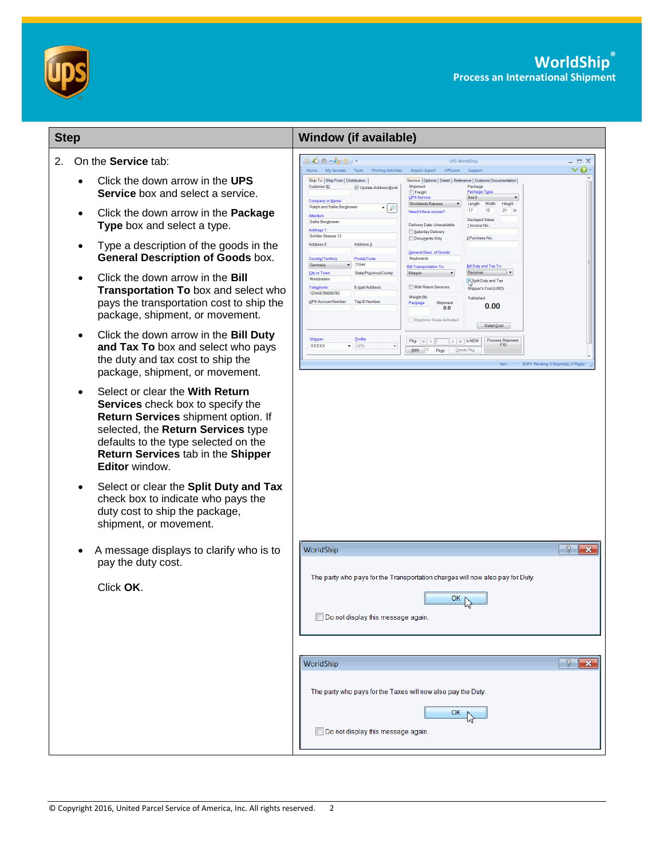

| <b>Step</b>                                                                                                                                                                                                                                                                                                                                                                                                                                                                                                                                                                                                                                                                                                                                                                                                                                                                                                                                                                                                                                                                       | <b>Window (if available)</b>                                                                                                                                                                                                                                                                                                                                                                                                                                                                                                                                                                                                                                                                                                                                                                                                                                                                                                                                                                                                                                                                                                                                                                                                                                                                                                                                                                                                                                                                                                                                                                                                 |
|-----------------------------------------------------------------------------------------------------------------------------------------------------------------------------------------------------------------------------------------------------------------------------------------------------------------------------------------------------------------------------------------------------------------------------------------------------------------------------------------------------------------------------------------------------------------------------------------------------------------------------------------------------------------------------------------------------------------------------------------------------------------------------------------------------------------------------------------------------------------------------------------------------------------------------------------------------------------------------------------------------------------------------------------------------------------------------------|------------------------------------------------------------------------------------------------------------------------------------------------------------------------------------------------------------------------------------------------------------------------------------------------------------------------------------------------------------------------------------------------------------------------------------------------------------------------------------------------------------------------------------------------------------------------------------------------------------------------------------------------------------------------------------------------------------------------------------------------------------------------------------------------------------------------------------------------------------------------------------------------------------------------------------------------------------------------------------------------------------------------------------------------------------------------------------------------------------------------------------------------------------------------------------------------------------------------------------------------------------------------------------------------------------------------------------------------------------------------------------------------------------------------------------------------------------------------------------------------------------------------------------------------------------------------------------------------------------------------------|
| 2.<br>On the <b>Service</b> tab:<br>Click the down arrow in the UPS<br>٠<br><b>Service</b> box and select a service.<br>Click the down arrow in the <b>Package</b><br>$\bullet$<br>Type box and select a type.<br>Type a description of the goods in the<br>$\bullet$<br><b>General Description of Goods box.</b><br>Click the down arrow in the <b>Bill</b><br>Transportation To box and select who<br>pays the transportation cost to ship the<br>package, shipment, or movement.<br>Click the down arrow in the Bill Duty<br>$\bullet$<br>and Tax To box and select who pays<br>the duty and tax cost to ship the<br>package, shipment, or movement.<br>Select or clear the With Return<br>$\bullet$<br>Services check box to specify the<br>Return Services shipment option. If<br>selected, the Return Services type<br>defaults to the type selected on the<br>Return Services tab in the Shipper<br><b>Editor</b> window.<br>Select or clear the Split Duty and Tax<br>٠<br>check box to indicate who pays the<br>duty cost to ship the package,<br>shipment, or movement. | $\equiv$ X<br>Ⅲ◎※→◎型)・<br><b>UPS WorldShip</b><br>- 0<br>Home My Services Tools<br><b>Printing Activities</b><br>Import-Export UPS.com<br>Support<br>Ship To Ship From Distribution<br>Service   Options   Detail   Reference   Customs Documentation<br>Customer ID:<br>Package<br>Shipment<br>V Update Address Book<br>Package Type<br>Freight<br>UPS Service<br>Box 2<br>Company or Name:<br><b>Worldwide Express</b><br>Width:<br>Height<br>Length:<br>Ralph and Sallie Bergbower<br>$\cdot$ $\circ$<br>17 <sub>z</sub><br>12<br>21<br>Need it there sooner?<br><b>Attention</b><br><b>Declared Value:</b><br>Sallie Bergbower<br>Delivery Date: Unavailable<br>1 Invoice No.:<br>Address <sub>1</sub><br>Saturday Delivery<br>Schiller Strasse 13<br>2 Purchase No.<br>Documents Only<br>Address 2:<br>Address <sub>3</sub><br>General Desc. of Goods:<br>Postal Code<br>Keyboards<br>Country/Territory<br>71544<br>Germany<br>Bill Duty and Tax To<br><b>Bill Transportation To:</b><br>City or Town:<br>State/Province/County:<br>Receiver<br>Shipper<br>Weisbaden<br>Split Duty and Tax<br>Telephone:<br>With Return Services<br>E-mail Address:<br>Shipper's Cost (USD)<br>123456789098765<br>Weight (lb)<br>Published<br><b>UPS Account Number:</b><br>Tax <sub>ID</sub> Number<br>Package:<br>Shipment<br>0.00<br>0.0<br>Electronic Scale Activated<br>Detail Cost<br><b>Shipper:</b><br>Profile<br>Process Shipment<br>$\mathbb{F}$   $\mathbb{H}$   is NEW<br>$P$ ka: $  $ $  $ $  $ $  $<br>F10<br>XXXXX<br>$\blacktriangledown$ UPS<br>Add 1 Pkgs<br>Delete Pkg<br>XOFY Pending: 0 Shpmt(s), 0 Pkg(s)<br>Ver: |
| A message displays to clarify who is to<br>pay the duty cost.<br>Click OK.                                                                                                                                                                                                                                                                                                                                                                                                                                                                                                                                                                                                                                                                                                                                                                                                                                                                                                                                                                                                        | $\mathbb{R}$<br>WorldShip<br>The party who pays for the Transportation charges will now also pay for Duty.<br>OK $\mathbb N$<br>Do not display this message again.<br>$\sqrt{3}$<br>WorldShip<br>The party who pays for the Taxes will now also pay the Duty.<br>OK.<br>Do not display this message again.                                                                                                                                                                                                                                                                                                                                                                                                                                                                                                                                                                                                                                                                                                                                                                                                                                                                                                                                                                                                                                                                                                                                                                                                                                                                                                                   |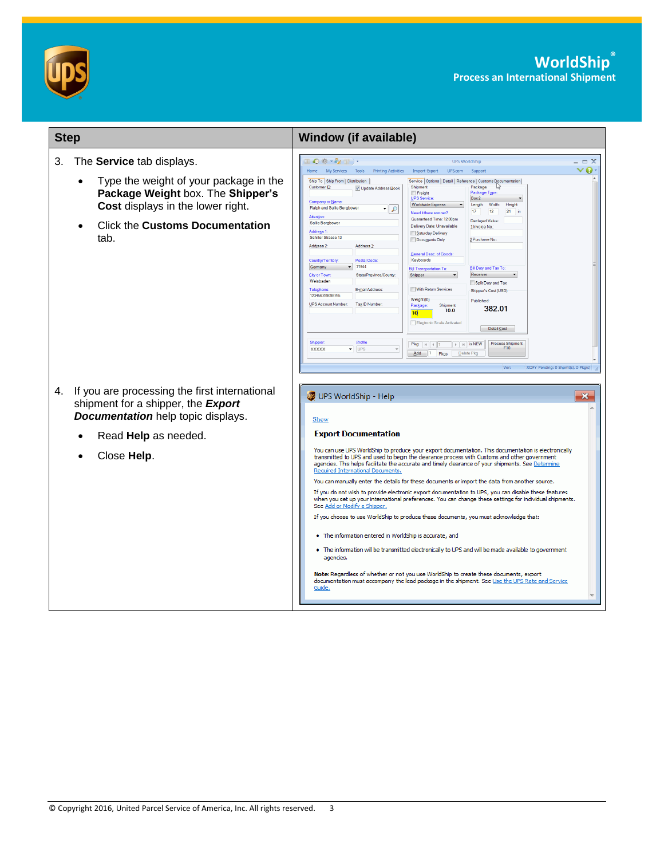

| <b>Step</b>                                                                                                                                   | <b>Window (if available)</b>                                                                                                                                                                                                                                                                                                                                                                                                                                                                                                                                                                                                                                                                                                                                                                                                                                                                                                                                                                                                                                                                                                                                                         |
|-----------------------------------------------------------------------------------------------------------------------------------------------|--------------------------------------------------------------------------------------------------------------------------------------------------------------------------------------------------------------------------------------------------------------------------------------------------------------------------------------------------------------------------------------------------------------------------------------------------------------------------------------------------------------------------------------------------------------------------------------------------------------------------------------------------------------------------------------------------------------------------------------------------------------------------------------------------------------------------------------------------------------------------------------------------------------------------------------------------------------------------------------------------------------------------------------------------------------------------------------------------------------------------------------------------------------------------------------|
| 3.<br>The Service tab displays.                                                                                                               | $\mathbb{L} \bigodot \mathbb{R} \cdot \mathbb{Z} \rightarrow 0$<br><b>DX</b><br><b>UPS WorldShip</b><br>$\boldsymbol{\Omega}$<br>Home My Services Tools Printing Activities<br>Import-Export UPS.com Support                                                                                                                                                                                                                                                                                                                                                                                                                                                                                                                                                                                                                                                                                                                                                                                                                                                                                                                                                                         |
| Type the weight of your package in the<br>Package Weight box. The Shipper's<br>Cost displays in the lower right.                              | Ship To Ship From Distribution<br>Service   Options   Detail   Reference   Customs Documentation<br>Customer ID:<br>Shipment<br>Package<br>V Update Address Book<br>Package Type:<br>Freight<br><b>UPS Service:</b><br>Box 2<br>Company or Name:<br>Worldwide Express<br>Length:<br>Width:<br>Height<br>Ralph and Sallie Bergbower<br>-   O<br>17<br>12<br>$21$ in<br>Need it there sooner?<br>Attention                                                                                                                                                                                                                                                                                                                                                                                                                                                                                                                                                                                                                                                                                                                                                                             |
| <b>Click the Customs Documentation</b><br>tab.                                                                                                | Guaranteed Time: 12:00pm<br>Declared Value<br>Sallie Berabower<br>Delivery Date: Unavailable<br>1 Invoice No.<br>Address 1:<br>Saturday Delivery<br>Schiller Strasse 13<br>2 Purchase No.<br>Documents Only<br>Address 2:<br>Address <sub>3</sub> :<br>General Desc. of Goods:<br>Country/Territory:<br>Postal Code:<br>Keyboards<br>71544<br>Germany<br>Bill Duty and Tax To:<br><b>Bill Transportation To:</b><br>Receiver<br>City or Town:<br>State/Province/County<br>Shipper<br>Weisbaden<br>Split Duty and Tax<br><b>Telephone:</b><br>E-mail Address:<br>With Return Services<br>Shipper's Cost (USD)<br>123456789098765<br>Weight (lb)<br>Published<br><b>UPS Account Number:</b><br>Tax ID Number<br>Shipment<br>Package:<br>382.01<br>100<br>10 <sup>1</sup><br>Electronic Scale Activated<br>Detail Cost<br>Shipper<br>Profile<br><b>Process Shipment</b><br>$\rightarrow$ $\parallel$ $\parallel$ is NEW<br>F10<br>$\overline{\phantom{a}}$ UPS<br><b>XXXXX</b><br>$\overline{\phantom{a}}$<br>Add 1 Pkgs<br>Delete Pkg<br>Ver:<br>XOFY Pending: 0 Shpmt(s), 0 Pkg(s)                                                                                                    |
| If you are processing the first international<br>4.<br>shipment for a shipper, the <b>Export</b><br><b>Documentation</b> help topic displays. | UPS WorldShip - Help<br>$\mathbf{x}$<br>Show                                                                                                                                                                                                                                                                                                                                                                                                                                                                                                                                                                                                                                                                                                                                                                                                                                                                                                                                                                                                                                                                                                                                         |
| Read Help as needed.                                                                                                                          | <b>Export Documentation</b>                                                                                                                                                                                                                                                                                                                                                                                                                                                                                                                                                                                                                                                                                                                                                                                                                                                                                                                                                                                                                                                                                                                                                          |
| Close Help.                                                                                                                                   | You can use UPS WorldShip to produce your export documentation. This documentation is electronically<br>transmitted to UPS and used to begin the clearance process with Customs and other government<br>agencies. This helps facilitate the accurate and timely clearance of your shipments. See Determine<br>Required International Documents.<br>You can manually enter the details for these documents or import the data from another source.<br>If you do not wish to provide electronic export documentation to UPS, you can disable these features<br>when you set up your international preferences. You can change these settings for individual shipments.<br>See Add or Modify a Shipper.<br>If you choose to use WorldShip to produce these documents, you must acknowledge that:<br>• The information entered in WorldShip is accurate, and<br>• The information will be transmitted electronically to UPS and will be made available to government<br>agencies.<br>Note: Regardless of whether or not you use WorldShip to create these documents, export<br>documentation must accompany the lead package in the shipment. See Use the UPS Rate and Service<br>Guide. |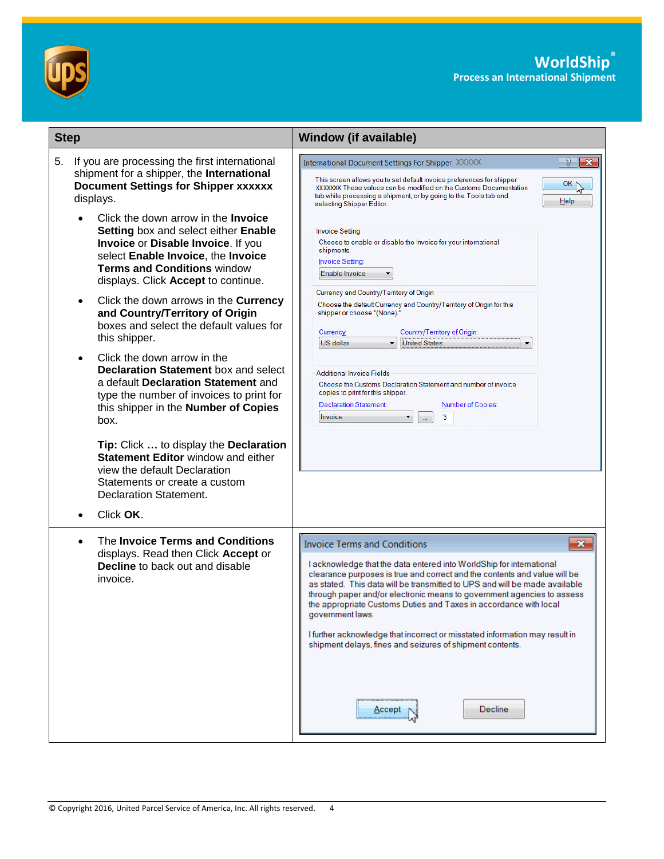

| <b>Step</b>                                                                                                                                                                                                                                 | <b>Window (if available)</b>                                                                                                                                                                                                                                                                                                                                                                                                                                                                                                                                                                                                      |
|---------------------------------------------------------------------------------------------------------------------------------------------------------------------------------------------------------------------------------------------|-----------------------------------------------------------------------------------------------------------------------------------------------------------------------------------------------------------------------------------------------------------------------------------------------------------------------------------------------------------------------------------------------------------------------------------------------------------------------------------------------------------------------------------------------------------------------------------------------------------------------------------|
| If you are processing the first international<br>5.<br>shipment for a shipper, the International<br><b>Document Settings for Shipper xxxxxx</b><br>displays.                                                                                | $\mathcal{S}$<br>$\mathbf{x}$<br>International Document Settings For Shipper XXXXX<br>This screen allows you to set default invoice preferences for shipper<br>OK<br>XXXXXXX. These values can be modified on the Customs Documentation<br>tab while processing a shipment, or by going to the Tools tab and<br>He<br>selecting Shipper Editor.                                                                                                                                                                                                                                                                                   |
| Click the down arrow in the <b>Invoice</b><br>Setting box and select either Enable<br>Invoice or Disable Invoice. If you<br>select Enable Invoice, the Invoice<br><b>Terms and Conditions window</b><br>displays. Click Accept to continue. | <b>Invoice Setting</b><br>Choose to enable or disable the Invoice for your international<br>shipments.<br>Invoice Setting:<br>Enable Invoice                                                                                                                                                                                                                                                                                                                                                                                                                                                                                      |
| Click the down arrows in the Currency<br>and Country/Territory of Origin<br>boxes and select the default values for<br>this shipper.                                                                                                        | Currency and Country/Territory of Origin<br>Choose the default Currency and Country/Territory of Origin for this<br>shipper or choose "(None)."<br>Currency:<br>Country/Territory of Origin:<br><b>United States</b><br>US dollar<br>▼                                                                                                                                                                                                                                                                                                                                                                                            |
| Click the down arrow in the<br><b>Declaration Statement box and select</b><br>a default Declaration Statement and<br>type the number of invoices to print for<br>this shipper in the Number of Copies<br>box.                               | <b>Additional Invoice Fields</b><br>Choose the Customs Declaration Statement and number of invoice<br>copies to print for this shipper.<br><b>Declaration Statement:</b><br>Number of Copies:<br>3<br>Invoice                                                                                                                                                                                                                                                                                                                                                                                                                     |
| Tip: Click  to display the Declaration<br><b>Statement Editor window and either</b><br>view the default Declaration<br>Statements or create a custom<br>Declaration Statement.                                                              |                                                                                                                                                                                                                                                                                                                                                                                                                                                                                                                                                                                                                                   |
| Click OK.                                                                                                                                                                                                                                   |                                                                                                                                                                                                                                                                                                                                                                                                                                                                                                                                                                                                                                   |
| The Invoice Terms and Conditions<br>displays. Read then Click Accept or<br><b>Decline</b> to back out and disable<br>invoice.                                                                                                               | $\mathbf{x}$<br><b>Invoice Terms and Conditions</b><br>I acknowledge that the data entered into WorldShip for international<br>clearance purposes is true and correct and the contents and value will be<br>as stated. This data will be transmitted to UPS and will be made available<br>through paper and/or electronic means to government agencies to assess<br>the appropriate Customs Duties and Taxes in accordance with local<br>government laws.<br>I further acknowledge that incorrect or misstated information may result in<br>shipment delays, fines and seizures of shipment contents.<br><b>Decline</b><br>Accept |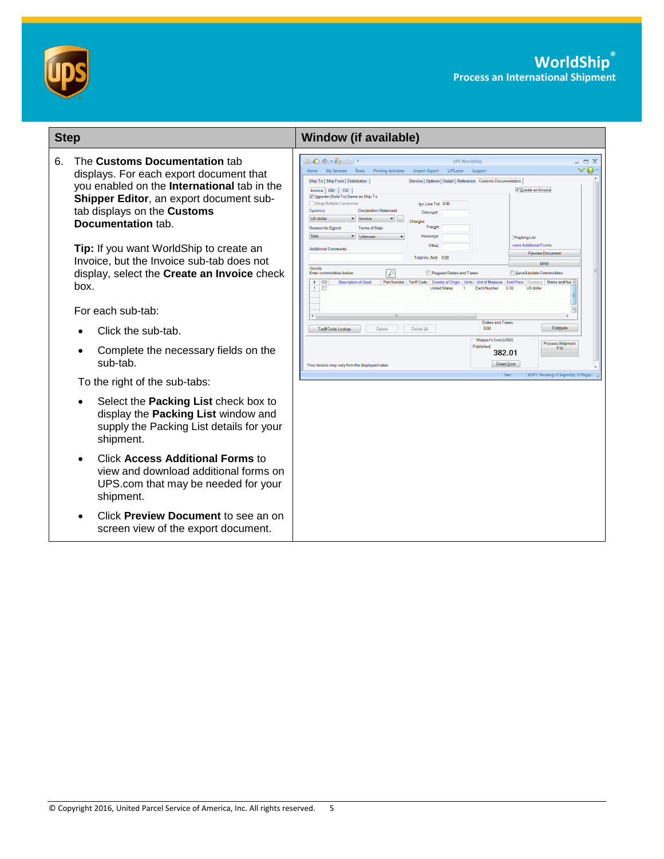

| <b>Step</b> |                                                                                                                                                                                                                         | <b>Window (if available)</b>                                                                                                                                                                                                                                                                                                                                                                                                                                                                                                                                                                                                                                                           |
|-------------|-------------------------------------------------------------------------------------------------------------------------------------------------------------------------------------------------------------------------|----------------------------------------------------------------------------------------------------------------------------------------------------------------------------------------------------------------------------------------------------------------------------------------------------------------------------------------------------------------------------------------------------------------------------------------------------------------------------------------------------------------------------------------------------------------------------------------------------------------------------------------------------------------------------------------|
| 6.          | The Customs Documentation tab<br>displays. For each export document that<br>you enabled on the International tab in the<br>Shipper Editor, an export document sub-<br>tab displays on the Customs<br>Documentation tab. | $\mathbb{L}$ $\otimes$ $\otimes$ $\cdot$ $\otimes$ $\mathbb{L}$ ) $\cdot$<br><b>UPS WorldShip</b><br>ø<br>Home My Services Tools<br>Printing Activities Import-Export<br>UPS.com<br>Support<br>Ship To   Ship From   Distribution<br>Service   Options   Detail   Reference Customs Documentation<br>√ Create an Invoice<br>Invoice EEI CO<br>V Importer (Sold To) Same as Ship To<br>Allow Multiple Currencies<br>Inv. Line Tot 0.00<br>Currency:<br><b>Declaration Statement</b><br><b>Discount</b><br><b>US dollar</b><br>$\blacktriangleright$ Invoice<br>Charges<br>Freight<br>Reason for Export<br>Terms of Sale<br>Sale<br>$\blacksquare$ Unknown<br>Insurance:<br>Packing List |
|             | Tip: If you want WorldShip to create an<br>Invoice, but the Invoice sub-tab does not<br>display, select the Create an Invoice check<br>box.                                                                             | cess Additional Forms<br>Other:<br><b>Additional Comments</b><br><b>Preview Document</b><br>Total Inv. Amt 0.00<br>Help<br>Goods<br>Request Duties and Taxes<br>Save/Update Commodities<br>Enter commodities below<br># CO<br><b>Description of Good</b><br>Part Number   Tariff Code<br><b>Country of Origin</b><br>Unit of Measure   Unit Price   Currency<br>Marks and Nur<br><b>Units</b><br>$\mathbf{1}$<br><b>United State</b><br>Each/Number<br>0.00<br>US dolla                                                                                                                                                                                                                |
|             | For each sub-tab:                                                                                                                                                                                                       |                                                                                                                                                                                                                                                                                                                                                                                                                                                                                                                                                                                                                                                                                        |
|             | Click the sub-tab.                                                                                                                                                                                                      | <b>Duties and Taxes</b><br>Estimate<br>0.00<br>Delete All<br><b>Tariff Code Lookup</b><br>Delete                                                                                                                                                                                                                                                                                                                                                                                                                                                                                                                                                                                       |
|             | Complete the necessary fields on the<br>sub-tab.                                                                                                                                                                        | Shipper's Cost (USD)<br><b>Process Shipment</b><br>Published:<br>F <sub>10</sub><br>382.01<br>Detail Cost<br>Your invoice may vary from the displayed rates                                                                                                                                                                                                                                                                                                                                                                                                                                                                                                                            |
|             | To the right of the sub-tabs:                                                                                                                                                                                           | XOFY Pending: 0 Shpmt(s), 0 Pkg(s)<br>Ver                                                                                                                                                                                                                                                                                                                                                                                                                                                                                                                                                                                                                                              |
|             | Select the Packing List check box to<br>display the Packing List window and<br>supply the Packing List details for your<br>shipment.                                                                                    |                                                                                                                                                                                                                                                                                                                                                                                                                                                                                                                                                                                                                                                                                        |
|             | Click Access Additional Forms to<br>$\bullet$<br>view and download additional forms on<br>UPS.com that may be needed for your<br>shipment.                                                                              |                                                                                                                                                                                                                                                                                                                                                                                                                                                                                                                                                                                                                                                                                        |
|             | Click Preview Document to see an on<br>screen view of the export document.                                                                                                                                              |                                                                                                                                                                                                                                                                                                                                                                                                                                                                                                                                                                                                                                                                                        |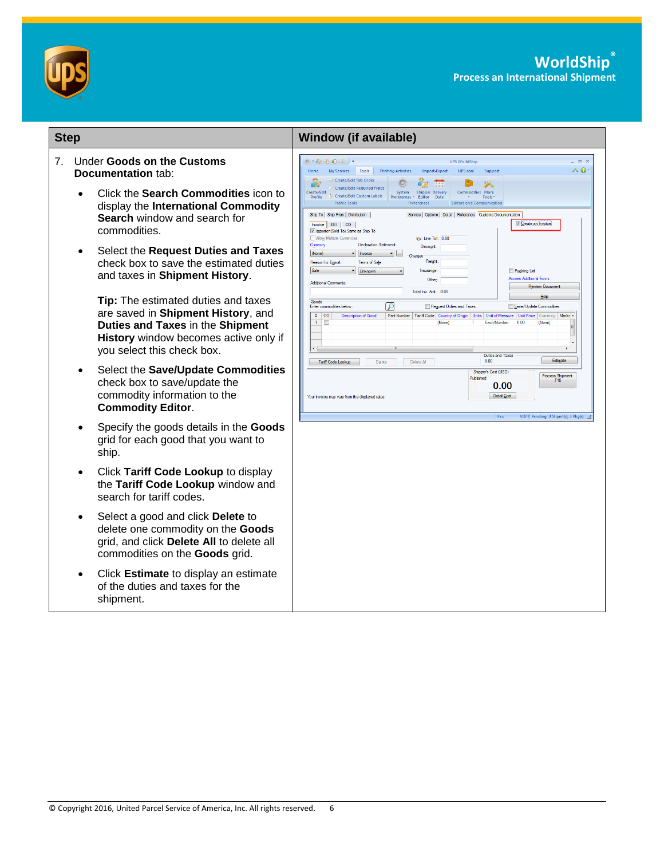

| <b>Step</b>                    |           |                                                                                                                                                                                      | <b>Window (if available)</b>                                                                                                                                                                                                                                                                                                                                                                                                                                                                                            |
|--------------------------------|-----------|--------------------------------------------------------------------------------------------------------------------------------------------------------------------------------------|-------------------------------------------------------------------------------------------------------------------------------------------------------------------------------------------------------------------------------------------------------------------------------------------------------------------------------------------------------------------------------------------------------------------------------------------------------------------------------------------------------------------------|
| $7_{\scriptscriptstyle{\sim}}$ |           | <b>Under Goods on the Customs</b><br><b>Documentation tab:</b>                                                                                                                       | $\circ \cdot \circ_{\mathbb{Z}} \circledast \bullet \mathbb{Z}$ ) =<br><b>UPS WorldShip</b><br>$-2$<br>$\wedge$ 0<br>UPS.com<br>My Services Tools<br><b>Printing Activities</b><br>Home<br>Import-Export<br>Support<br>Create/Edit Tab Order<br>$\mathcal{C}_2$                                                                                                                                                                                                                                                         |
|                                |           | Click the Search Commodities icon to<br>display the International Commodity<br>Search window and search for<br>commodities.                                                          | m<br>$\circ$<br>Create/Edit Required Fields<br>Create/Edit<br>System Shipper Delivery<br><b>Commodities More</b><br>Create/Edit Custom Labels<br>Preferences * Editor Date<br>Tools:<br>Profile<br><b>Profile Tools</b><br><b>Editors and Communication</b><br>Preferences<br>Ship To   Ship From   Distribution  <br>Service   Options   Detail   Reference Customs Documentation<br>Create an Invoice<br>Invoice EEI   CO<br>V Importer (Sold To) Same as Ship To<br>Allow Multiple Currencies<br>Inv. Line Tot: 0.00 |
|                                | $\bullet$ | Select the Request Duties and Taxes<br>check box to save the estimated duties<br>and taxes in Shipment History.                                                                      | <b>Declaration Statement:</b><br>Currency:<br>Discount:<br>$\overline{\phantom{a}}$ Invoice<br>(None)<br>$\bullet$ $\Box$<br>Charges<br>Freight:<br>Terms of Sale:<br>Reason for Export:<br>Sale<br>v Unknown<br>Packing List<br>Insurance<br><b>Access Additional Forms</b><br>Other:<br>Additional Comments:<br>Preview Document<br>Total Inv. Amt: 0.00                                                                                                                                                              |
|                                |           | Tip: The estimated duties and taxes<br>are saved in Shipment History, and<br>Duties and Taxes in the Shipment<br>History window becomes active only if<br>you select this check box. | Help<br>Goods<br>$\mathcal{L}$<br>Request Duties and Taxes<br>Save/Update Commodities<br>Enter commodities helow<br># CO<br>Part Number   Tariff Code   Country of Origin   Units   Unit of Measure   Unit Price  <br><b>Description of Good</b><br>Currency<br>$\mathbf{1}$<br>$\blacksquare$<br>0.00<br>(None)<br>Each/Number<br>(None)<br><b>Duties and Taxes</b><br>Estimate<br>0.00                                                                                                                                |
|                                | $\bullet$ | Select the Save/Update Commodities<br>check box to save/update the<br>commodity information to the<br><b>Commodity Editor.</b>                                                       | Tariff Code Lookup<br>Delete<br>Delete Al<br>Shipper's Cost (USD)<br>Process Shipment<br>Published:<br>F10<br>0.00<br>Detail Cost<br>Your invoice may vary from the displayed rates.<br>Ver<br><b>XOFY Pendina: 3 Shomt(s), 3 Pkg(s)</b>                                                                                                                                                                                                                                                                                |
|                                | $\bullet$ | Specify the goods details in the Goods<br>grid for each good that you want to<br>ship.                                                                                               |                                                                                                                                                                                                                                                                                                                                                                                                                                                                                                                         |
|                                | $\bullet$ | Click Tariff Code Lookup to display<br>the Tariff Code Lookup window and<br>search for tariff codes.                                                                                 |                                                                                                                                                                                                                                                                                                                                                                                                                                                                                                                         |
|                                | $\bullet$ | Select a good and click Delete to<br>delete one commodity on the Goods<br>grid, and click Delete All to delete all<br>commodities on the Goods grid.                                 |                                                                                                                                                                                                                                                                                                                                                                                                                                                                                                                         |
|                                | $\bullet$ | Click Estimate to display an estimate<br>of the duties and taxes for the<br>shipment.                                                                                                |                                                                                                                                                                                                                                                                                                                                                                                                                                                                                                                         |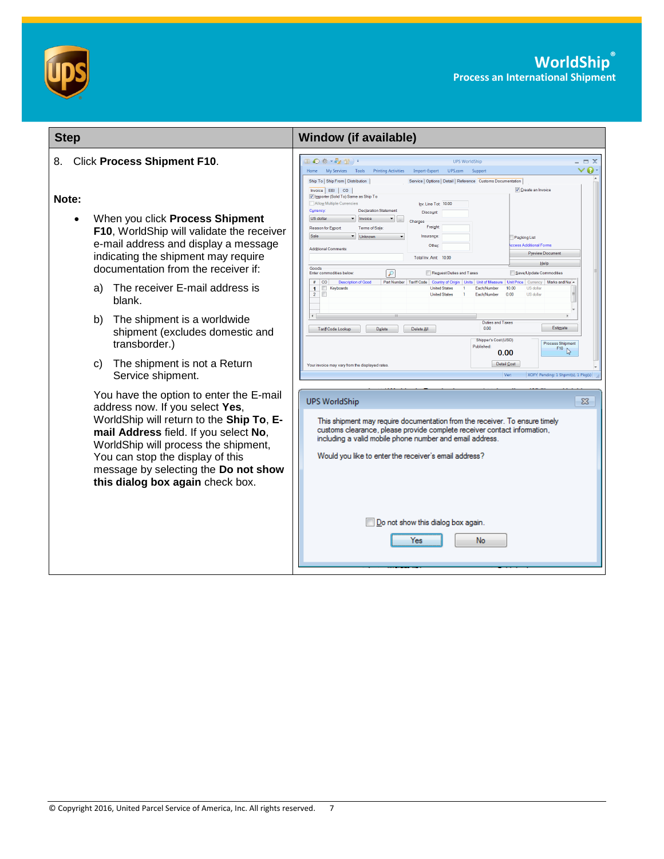



| <b>Step</b>                                                                                                                                                                                                                                                                                                                                                                                         | <b>Window (if available)</b>                                                                                                                                                                                                                                                                                                                                                                                                                                                                                                                                                                                                                                                                                                                                                                                                                                                                                                                                                                                                                                                                                                                                                                                                                                                                                                                                             |
|-----------------------------------------------------------------------------------------------------------------------------------------------------------------------------------------------------------------------------------------------------------------------------------------------------------------------------------------------------------------------------------------------------|--------------------------------------------------------------------------------------------------------------------------------------------------------------------------------------------------------------------------------------------------------------------------------------------------------------------------------------------------------------------------------------------------------------------------------------------------------------------------------------------------------------------------------------------------------------------------------------------------------------------------------------------------------------------------------------------------------------------------------------------------------------------------------------------------------------------------------------------------------------------------------------------------------------------------------------------------------------------------------------------------------------------------------------------------------------------------------------------------------------------------------------------------------------------------------------------------------------------------------------------------------------------------------------------------------------------------------------------------------------------------|
| <b>Click Process Shipment F10.</b><br>8.<br>Note:<br>When you click Process Shipment<br>F10, WorldShip will validate the receiver<br>e-mail address and display a message<br>indicating the shipment may require<br>documentation from the receiver if:<br>The receiver E-mail address is<br>a)<br>blank.<br>The shipment is a worldwide<br>b)<br>shipment (excludes domestic and                   | Ⅱ◎※・☆☆Ⅱ→<br><b>UPS WorldShip</b><br>$\Box$ $\times$<br>ø<br>My Services Tools Printing Activities<br>Import-Export UPS.com Support<br>Home<br>Ship To   Ship From   Distribution<br>Service   Options   Detail   Reference   Customs Documentation<br>Create an Invoice<br>Invoice EEI CO<br>V Importer (Sold To) Same as Ship To<br>Allow Multiple Currencies<br>Inv. Line Tot 10.00<br>Currency:<br><b>Declaration Statement</b><br>Discount<br><b>US</b> dollar<br>$\blacktriangleright$ Invoice<br>Charges<br>Freight<br>Reason for Export:<br>Terms of Sale:<br>Sale<br>$\blacktriangledown$ Unknown<br>Insurance:<br>Packing List<br>Other:<br>ccess Additional Forms<br><b>Additional Comments</b><br><b>Preview Document</b><br>Total Inv. Amt 10.00<br>Help<br>Goods<br>Reguest Duties and Taxes<br>Enter commodities below<br>$\mathcal{P}$<br>Save/Update Commodities<br><b>Description of Good</b><br>Part Number   Tariff Code   Country of Origin   Units   Unit of Measure   Unit Price   Currency<br>Marks and Nui ~<br>$\#$ CO<br>Keyboards<br><b>United States</b><br>Each/Number<br>10.00<br><b>US</b> dollar<br>$\mathbf{1}$<br>$\mathbf{1}$<br>$\overline{2}$<br>E<br><b>United States</b><br>Each/Number<br>0.00<br>US dollar<br><b>Duties and Taxes</b><br>Estimate<br>0.00<br>Tariff Code Lookup<br>Delete All<br>Delete<br>Shipper's Cost (USD) |
| transborder.)<br>The shipment is not a Return<br>C)<br>Service shipment.<br>You have the option to enter the E-mail<br>address now. If you select Yes,<br>WorldShip will return to the Ship To, E-<br>mail Address field. If you select No,<br>WorldShip will process the shipment,<br>You can stop the display of this<br>message by selecting the Do not show<br>this dialog box again check box. | <b>Process Shipment</b><br><b>Published:</b><br>F10<br>0.00<br>Detail Cost<br>Your invoice may vary from the displayed rates<br>Ver:<br>XOFY Pending: 1 Shpmt(s), 1 Pkg(s)<br><b>UPS WorldShip</b><br>This shipment may require documentation from the receiver. To ensure timely<br>customs clearance, please provide complete receiver contact information,<br>including a valid mobile phone number and email address.<br>Would you like to enter the receiver's email address?<br>Do not show this dialog box again.<br>Yes<br>No                                                                                                                                                                                                                                                                                                                                                                                                                                                                                                                                                                                                                                                                                                                                                                                                                                    |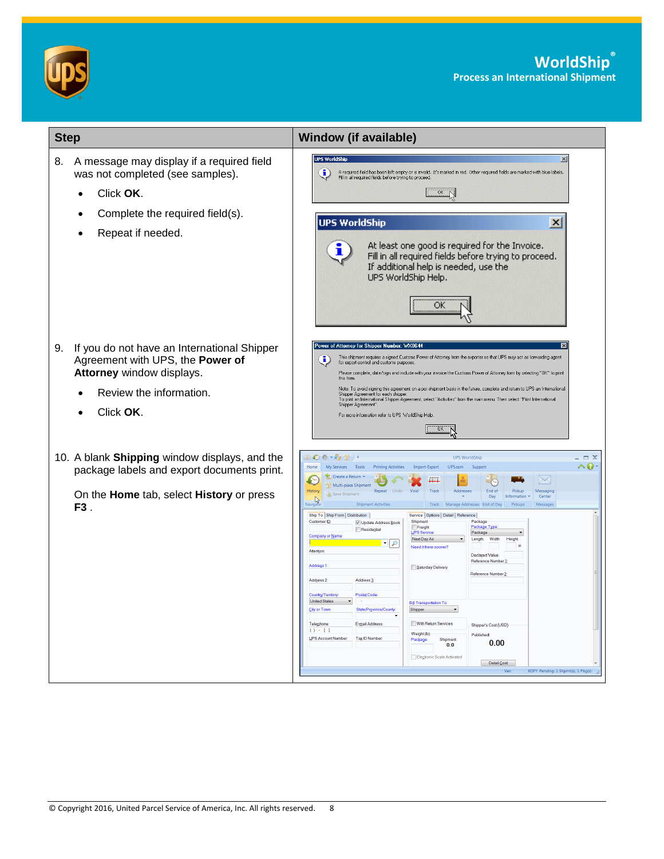



| <b>Step</b>                                                                                                                                                | <b>Window (if available)</b>                                                                                                                                                                                                                                                                                                                                                                                                                                                                                                                                                                                                                                                                                                                                                                                                                                                                                                                                                                                                                                                                                                                                                                                                                                                                                                                                                                                                             |
|------------------------------------------------------------------------------------------------------------------------------------------------------------|------------------------------------------------------------------------------------------------------------------------------------------------------------------------------------------------------------------------------------------------------------------------------------------------------------------------------------------------------------------------------------------------------------------------------------------------------------------------------------------------------------------------------------------------------------------------------------------------------------------------------------------------------------------------------------------------------------------------------------------------------------------------------------------------------------------------------------------------------------------------------------------------------------------------------------------------------------------------------------------------------------------------------------------------------------------------------------------------------------------------------------------------------------------------------------------------------------------------------------------------------------------------------------------------------------------------------------------------------------------------------------------------------------------------------------------|
| A message may display if a required field<br>8.<br>was not completed (see samples).<br>Click OK.<br>$\bullet$                                              | <b>UPS WorldShip</b><br>$\vert x \vert$<br>A required field has been left empty or is invalid. It's marked in red. Other required fields are marked with blue labels.<br>i)<br>Fill in all required fields before trying to proceed.<br>OK                                                                                                                                                                                                                                                                                                                                                                                                                                                                                                                                                                                                                                                                                                                                                                                                                                                                                                                                                                                                                                                                                                                                                                                               |
| Complete the required field(s).<br>Repeat if needed.                                                                                                       | <b>UPS WorldShip</b><br>$\times$<br>At least one good is required for the Invoice.<br>Fill in all required fields before trying to proceed.<br>If additional help is needed, use the<br>UPS WorldShip Help.<br><br>ок<br>                                                                                                                                                                                                                                                                                                                                                                                                                                                                                                                                                                                                                                                                                                                                                                                                                                                                                                                                                                                                                                                                                                                                                                                                                |
| If you do not have an International Shipper<br>9.<br>Agreement with UPS, the Power of<br>Attorney window displays.<br>Review the information.<br>Click OK. | Power of Attorney for Shipper Number: WX0644<br>This shipment requires a signed Customs Power of Attorney from the exporter so that UPS may act as forwarding agent<br><u>(i</u><br>for export control and customs purposes.<br>Please complete, date/sign and include with your invoice the Customs Power of Attorney form by selecting "OK" to print<br>this form.<br>Note: To avoid signing this agreement on a per shipment basis in the future, complete and return to UPS an International<br>Shipper Agreement for each shipper.<br>To print an International Shipper Agreement, select "Activities" from the main menu. Then select "Print International<br>Shipper Agreement".<br>For more information refer to UPS WorldShip Help<br>ΰK                                                                                                                                                                                                                                                                                                                                                                                                                                                                                                                                                                                                                                                                                        |
| 10. A blank Shipping window displays, and the<br>package labels and export documents print.<br>On the Home tab, select History or press<br>F3.             | Ⅲ ◎ ※ → ◎ 習 )・<br><b>UPS WorldShip</b><br>$\Box$ $X$<br>^0.<br>Home<br>My Services Tools<br><b>Printing Activities</b><br>Import-Export<br>UPS.com<br>Support<br>Create a Return<br>$\searrow$<br>╨<br>Multi-piece Shipment<br>History<br>Void<br>Track<br>Addresses<br>Messaging<br>Repeat<br>End of<br>Pickup<br>Save Shipment<br>Day<br>Center<br>Information<br>Navigat<br><b>Shipment Activities</b><br>Track Manage Addresses End of Day<br>Pickups<br>Messages<br>Ship To Ship From   Distribution  <br>Service   Options   Detail   Reference<br>Package<br>Customer ID:<br>Shipment<br>V Update Address Book<br>Package Type<br>Freight<br>Residential<br><b>UPS Service</b><br>Package<br><b>Company or Name</b><br>Next Day Air<br>Width:<br>Height<br>Length:<br>in<br>Need it there sooner?<br>Attention<br><b>Declared Value:</b><br>Reference Number 1<br>Address <sub>1</sub><br>Saturday Delivery<br>Reference Number 2<br>Address 3:<br>Address 2<br><b>Postal Code</b><br>Country/Territory<br><b>United States</b><br><b>Bill Transportation To:</b><br><u>S</u> ity or Town<br>State/Province/County<br>Shipper<br>With Return Services<br>Telephone:<br>E-mail Address:<br>Shipper's Cost (USD)<br>$O - 11$<br>Weight (lb)<br>Published:<br>UPS Account Number:<br>Tax ID Number<br>Package:<br>Shipment<br>0.00<br>0.0<br>Electronic Scale Activated<br>Detail Cost<br>XOFY Pending: 1 Shpmt(s), 1 Pkg(s)<br>Ver: |